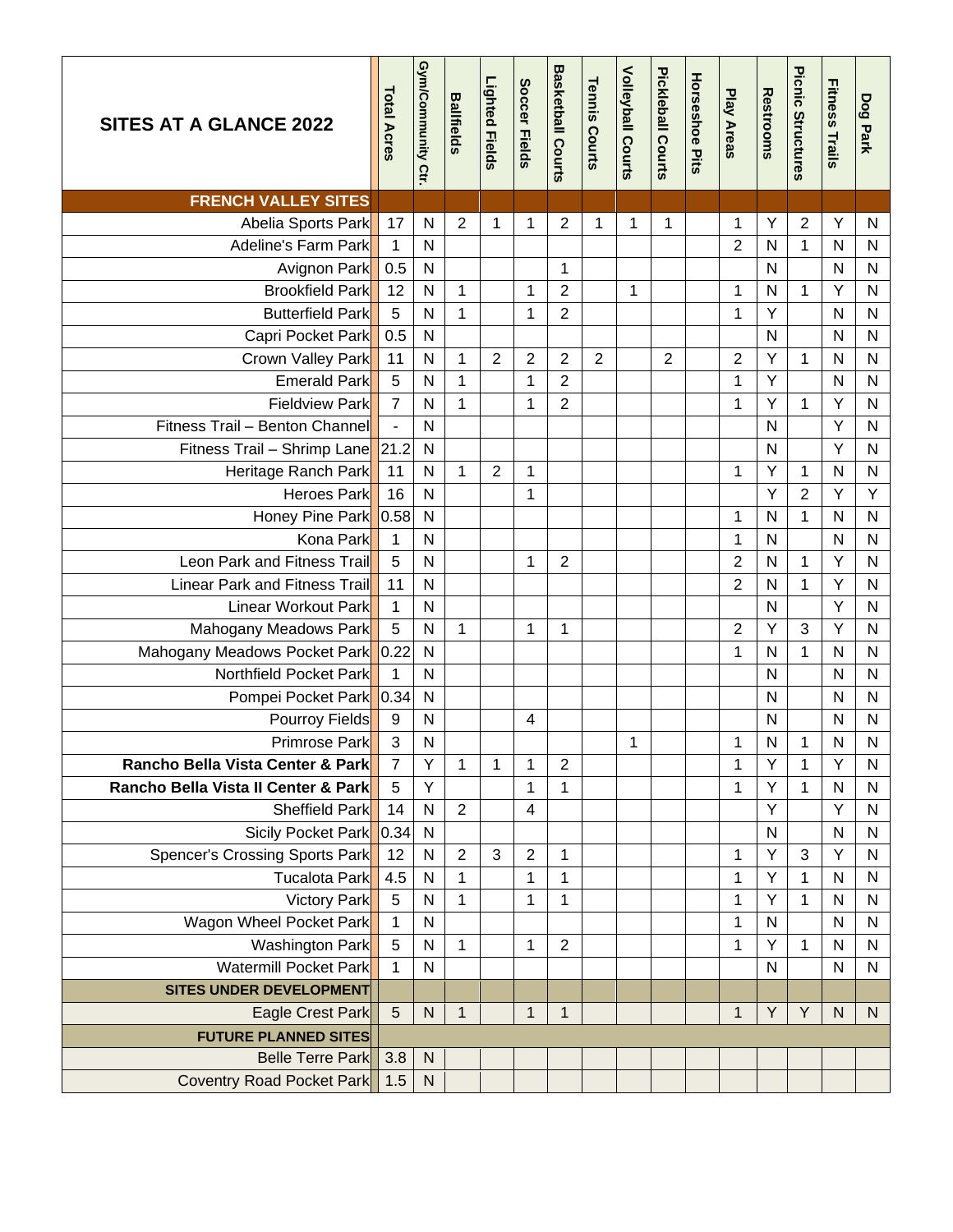| <b>SITES AT A GLANCE 2022</b>                        | <b>Total Acres</b> | Gym/Community Ctr         | <b>Ballfields</b> | <b>Lighted Fields</b> | <b>Soccer Fields</b> | <b>Basketball Courts</b> | <b>Tennis Courts</b> | <b>Volleyball Courts</b> | Pickleball Courts | <b>Horseshoe Pits</b> | <b>Play Areas</b> | <b>Restrooms</b>  | Picnic Structures | <b>Fitness Trails</b> | Dog Park          |
|------------------------------------------------------|--------------------|---------------------------|-------------------|-----------------------|----------------------|--------------------------|----------------------|--------------------------|-------------------|-----------------------|-------------------|-------------------|-------------------|-----------------------|-------------------|
| <b>FRENCH VALLEY SITES</b>                           |                    |                           |                   |                       |                      |                          |                      |                          |                   |                       |                   |                   |                   |                       |                   |
| Abelia Sports Park                                   | 17                 | ${\sf N}$                 | $\overline{2}$    | 1                     | 1                    | 2                        | 1                    | 1                        | $\mathbf 1$       |                       | 1                 | Υ                 | $\overline{2}$    | Υ                     | ${\sf N}$         |
| Adeline's Farm Park                                  | 1                  | $\mathsf{N}$              |                   |                       |                      |                          |                      |                          |                   |                       | $\overline{2}$    | N                 | $\mathbf{1}$      | $\mathsf{N}$          | N                 |
| Avignon Park                                         | 0.5                | $\mathsf{N}$              |                   |                       |                      | 1                        |                      |                          |                   |                       |                   | N                 |                   | N                     | N                 |
| <b>Brookfield Park</b>                               | 12                 | $\mathsf{N}$              | $\mathbf{1}$      |                       | 1                    | $\overline{2}$           |                      | 1                        |                   |                       | 1                 | N                 | 1                 | Υ                     | ${\sf N}$         |
| <b>Butterfield Park</b>                              | 5                  | N                         | 1                 |                       | 1                    | $\overline{2}$           |                      |                          |                   |                       | 1                 | Υ                 |                   | N                     | N                 |
| Capri Pocket Park                                    | 0.5                | $\mathsf{N}$              |                   |                       |                      |                          |                      |                          |                   |                       |                   | N                 |                   | $\mathsf{N}$          | ${\sf N}$         |
| Crown Valley Park                                    | 11                 | $\mathsf{N}$              | 1                 | 2                     | 2                    | 2                        | 2                    |                          | $\overline{2}$    |                       | $\overline{2}$    | Υ                 | 1                 | $\mathsf{N}$          | N                 |
| Emerald Park                                         | 5                  | N                         | $\mathbf 1$       |                       | 1                    | $\overline{2}$           |                      |                          |                   |                       | $\mathbf{1}$      | Ÿ                 |                   | $\mathsf{N}$          | N                 |
| <b>Fieldview Park</b>                                | $\overline{7}$     | N                         | $\mathbf{1}$      |                       | 1                    | $\overline{2}$           |                      |                          |                   |                       | 1                 | Y                 | 1                 | Υ                     | N                 |
| Fitness Trail - Benton Channel                       | $\Box$             | $\mathsf{N}$              |                   |                       |                      |                          |                      |                          |                   |                       |                   | N                 |                   | Υ                     | N                 |
| Fitness Trail - Shrimp Lane                          | 21.2               | $\mathsf{N}$              |                   |                       |                      |                          |                      |                          |                   |                       |                   | N                 |                   | Υ                     | N                 |
| Heritage Ranch Park                                  | 11                 | $\mathsf{N}$              | 1                 | $\overline{2}$        | 1                    |                          |                      |                          |                   |                       | 1                 | Υ                 | 1                 | $\mathsf{N}$          | N                 |
| <b>Heroes Park</b>                                   | 16                 | $\mathsf{N}$              |                   |                       | 1                    |                          |                      |                          |                   |                       |                   | Y                 | $\overline{2}$    | Υ                     | Υ                 |
| Honey Pine Park                                      | 0.58               | $\mathsf{N}$              |                   |                       |                      |                          |                      |                          |                   |                       | 1                 | N                 | 1                 | $\mathsf{N}$          | N                 |
| Kona Park                                            | 1                  | $\mathsf{N}$              |                   |                       |                      |                          |                      |                          |                   |                       | 1                 | N                 |                   | N                     | N                 |
| Leon Park and Fitness Trail                          | 5                  | $\mathsf{N}$              |                   |                       | 1                    | $\overline{2}$           |                      |                          |                   |                       | $\overline{2}$    | N                 | 1                 | Υ                     | ${\sf N}$         |
| <b>Linear Park and Fitness Trail</b>                 | 11                 | $\mathsf{N}$              |                   |                       |                      |                          |                      |                          |                   |                       | $\overline{2}$    | N                 | 1                 | Υ                     | N                 |
| Linear Workout Park                                  | 1                  | N                         |                   |                       |                      |                          |                      |                          |                   |                       |                   | N                 |                   | Υ                     | N                 |
| Mahogany Meadows Park                                | 5                  | N                         | 1                 |                       | 1                    | 1                        |                      |                          |                   |                       | $\overline{2}$    | Υ                 | 3                 | Υ                     | N                 |
| Mahogany Meadows Pocket Park                         | 0.22               | $\mathsf{N}$              |                   |                       |                      |                          |                      |                          |                   |                       | $\mathbf{1}$      | N                 | 1                 | N                     | N                 |
| Northfield Pocket Park                               | 1                  | $\mathsf{N}$              |                   |                       |                      |                          |                      |                          |                   |                       |                   | N                 |                   | $\mathsf{N}$          | N                 |
| Pompei Pocket Park 0.34                              |                    | $\mathsf{N}$              |                   |                       |                      |                          |                      |                          |                   |                       |                   | N                 |                   | N                     | N                 |
| Pourroy Fields                                       | 9                  | $\mathsf{N}$              |                   |                       | 4                    |                          |                      |                          |                   |                       |                   | N                 |                   | N                     | N                 |
| Primrose Park                                        | 3                  | $\mathsf{N}$              |                   |                       |                      |                          |                      | 1                        |                   |                       | 1                 | N                 | 1                 | N                     | N                 |
| Rancho Bella Vista Center & Park                     | 7                  | Υ                         | 1                 | 1                     | 1                    | 2                        |                      |                          |                   |                       | 1                 | Υ                 | 1                 | Υ                     | N                 |
| Rancho Bella Vista II Center & Park                  | 5                  | Y                         |                   |                       | 1                    | $\mathbf 1$              |                      |                          |                   |                       | 1                 | Y                 | 1                 | $\mathsf{N}$          | N                 |
| Sheffield Park                                       | 14                 | $\mathsf{N}$              | $\overline{2}$    |                       | 4                    |                          |                      |                          |                   |                       |                   | Υ                 |                   | Υ                     | N                 |
| Sicily Pocket Park<br>Spencer's Crossing Sports Park | 0.34<br>12         | ${\sf N}$<br>$\mathsf{N}$ | $\overline{2}$    | 3                     | $\overline{2}$       |                          |                      |                          |                   |                       |                   | $\mathsf{N}$<br>Υ | 3                 | N<br>Υ                | $\mathsf{N}$<br>N |
|                                                      |                    |                           |                   |                       |                      | 1                        |                      |                          |                   |                       | 1                 | Υ                 |                   | $\mathsf{N}$          |                   |
| Tucalota Park                                        | 4.5<br>5           | ${\sf N}$<br>${\sf N}$    | 1<br>1            |                       | $\mathbf{1}$         | 1                        |                      |                          |                   |                       | 1                 | Y                 | 1                 | N                     | N                 |
| <b>Victory Park</b>                                  | $\mathbf 1$        | ${\sf N}$                 |                   |                       | 1                    | 1                        |                      |                          |                   |                       | 1                 | N                 | 1                 | N                     | N                 |
| Wagon Wheel Pocket Park                              |                    |                           |                   |                       |                      |                          |                      |                          |                   |                       | 1                 |                   |                   |                       | ${\sf N}$         |
| Washington Park<br>Watermill Pocket Park             | 5<br>1             | ${\sf N}$<br>$\mathsf{N}$ | 1                 |                       | 1                    | $\overline{2}$           |                      |                          |                   |                       | 1                 | Υ<br>N            | 1                 | N<br>N                | N<br>N            |
| <b>SITES UNDER DEVELOPMENT</b>                       |                    |                           |                   |                       |                      |                          |                      |                          |                   |                       |                   |                   |                   |                       |                   |
| Eagle Crest Park                                     | 5                  | $\mathsf{N}$              | $\mathbf{1}$      |                       | $\mathbf{1}$         | 1                        |                      |                          |                   |                       | $\mathbf{1}$      | Y                 | Y                 | ${\sf N}$             | N                 |
| <b>FUTURE PLANNED SITES</b>                          |                    |                           |                   |                       |                      |                          |                      |                          |                   |                       |                   |                   |                   |                       |                   |
| <b>Belle Terre Park</b>                              | 3.8                | $\mathsf{N}$              |                   |                       |                      |                          |                      |                          |                   |                       |                   |                   |                   |                       |                   |
| Coventry Road Pocket Park                            | 1.5                | ${\sf N}$                 |                   |                       |                      |                          |                      |                          |                   |                       |                   |                   |                   |                       |                   |
|                                                      |                    |                           |                   |                       |                      |                          |                      |                          |                   |                       |                   |                   |                   |                       |                   |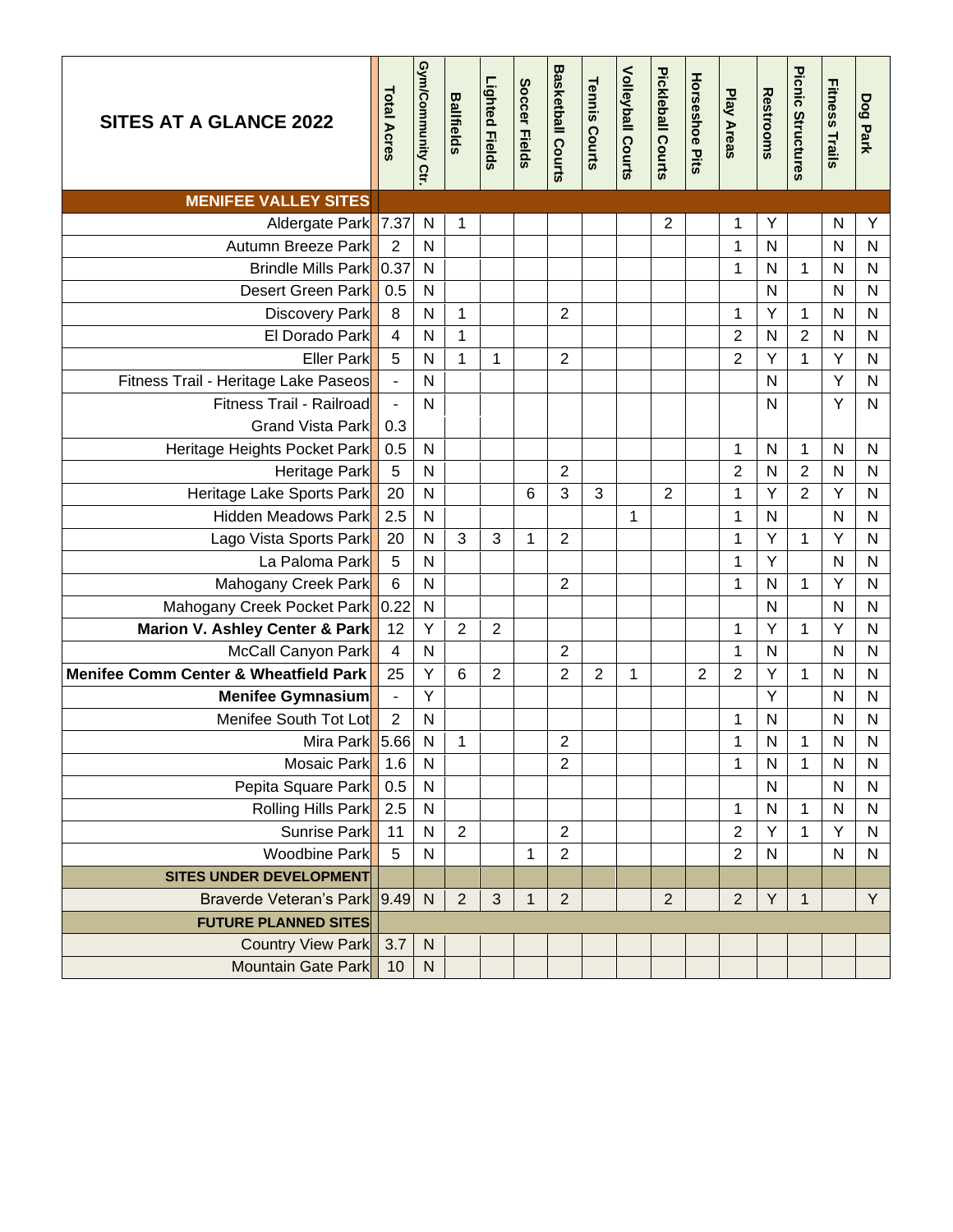| <b>SITES AT A GLANCE 2022</b>                    | <b>Total Acres</b>       | Gym/Community Ctr | <b>Ballfields</b> | <b>Lighted Fields</b> | Soccer Fields | <b>Basketball Courts</b> | <b>Tennis Courts</b> | <b>Volleyball Courts</b> | Pickleball Courts | <b>Horseshoe Pits</b> | <b>Play Areas</b> | Restrooms    | Picnic Structures | <b>Fitness Trails</b> | Dog Park     |
|--------------------------------------------------|--------------------------|-------------------|-------------------|-----------------------|---------------|--------------------------|----------------------|--------------------------|-------------------|-----------------------|-------------------|--------------|-------------------|-----------------------|--------------|
| <b>MENIFEE VALLEY SITES</b>                      |                          |                   |                   |                       |               |                          |                      |                          |                   |                       |                   |              |                   |                       |              |
| Aldergate Park 7.37                              |                          | ${\sf N}$         | 1                 |                       |               |                          |                      |                          | $\overline{2}$    |                       | 1                 | Υ            |                   | N                     | Υ            |
| Autumn Breeze Park                               | 2                        | N                 |                   |                       |               |                          |                      |                          |                   |                       | 1                 | $\mathsf{N}$ |                   | $\mathsf{N}$          | $\mathsf{N}$ |
| <b>Brindle Mills Park</b>                        | 0.37                     | $\mathsf{N}$      |                   |                       |               |                          |                      |                          |                   |                       | 1                 | $\mathsf{N}$ | $\mathbf{1}$      | $\mathsf{N}$          | $\mathsf{N}$ |
| Desert Green Park                                | 0.5                      | $\mathsf{N}$      |                   |                       |               |                          |                      |                          |                   |                       |                   | $\mathsf{N}$ |                   | $\mathsf{N}$          | ${\sf N}$    |
| Discovery Park                                   | 8                        | N                 | 1                 |                       |               | $\overline{2}$           |                      |                          |                   |                       | 1                 | Y            | 1                 | N                     | $\mathsf{N}$ |
| El Dorado Park                                   | $\overline{\mathbf{4}}$  | $\mathsf{N}$      | $\mathbf 1$       |                       |               |                          |                      |                          |                   |                       | $\overline{2}$    | N            | $\overline{2}$    | ${\sf N}$             | ${\sf N}$    |
| <b>Eller Park</b>                                | 5                        | N                 | $\mathbf{1}$      | 1                     |               | $\overline{2}$           |                      |                          |                   |                       | $\overline{2}$    | Y            | $\mathbf{1}$      | Υ                     | $\mathsf{N}$ |
| Fitness Trail - Heritage Lake Paseos             | $\overline{\phantom{a}}$ | N                 |                   |                       |               |                          |                      |                          |                   |                       |                   | N            |                   | Υ                     | $\mathsf{N}$ |
| Fitness Trail - Railroad                         | $\blacksquare$           | $\mathsf{N}$      |                   |                       |               |                          |                      |                          |                   |                       |                   | $\mathsf{N}$ |                   | Y                     | $\mathsf{N}$ |
| Grand Vista Park                                 | 0.3                      |                   |                   |                       |               |                          |                      |                          |                   |                       |                   |              |                   |                       |              |
| Heritage Heights Pocket Park                     | 0.5                      | ${\sf N}$         |                   |                       |               |                          |                      |                          |                   |                       | 1                 | N            | 1                 | N                     | N            |
| Heritage Park                                    | $\overline{5}$           | N                 |                   |                       |               | $\overline{2}$           |                      |                          |                   |                       | $\overline{c}$    | N            | $\overline{2}$    | $\mathsf{N}$          | $\mathsf{N}$ |
| Heritage Lake Sports Park                        | 20                       | N                 |                   |                       | 6             | 3                        | 3                    |                          | $\overline{2}$    |                       | 1                 | Y            | $\overline{2}$    | Υ                     | $\mathsf{N}$ |
| <b>Hidden Meadows Park</b>                       | 2.5                      | $\mathsf{N}$      |                   |                       |               |                          |                      | 1                        |                   |                       | 1                 | ${\sf N}$    |                   | $\mathsf{N}$          | ${\sf N}$    |
| Lago Vista Sports Park                           | 20                       | N                 | 3                 | 3                     | 1             | $\overline{2}$           |                      |                          |                   |                       | 1                 | Y            | 1                 | Υ                     | $\mathsf{N}$ |
| La Paloma Park                                   | 5                        | $\mathsf{N}$      |                   |                       |               |                          |                      |                          |                   |                       | 1                 | Y            |                   | $\mathsf{N}$          | N            |
| Mahogany Creek Park                              | $6\phantom{a}$           | $\mathsf{N}$      |                   |                       |               | $\overline{2}$           |                      |                          |                   |                       | 1                 | N            | 1                 | Y                     | $\mathsf{N}$ |
| Mahogany Creek Pocket Park                       | 0.22                     | ${\sf N}$         |                   |                       |               |                          |                      |                          |                   |                       |                   | N            |                   | $\mathsf{N}$          | $\mathsf{N}$ |
| Marion V. Ashley Center & Park                   | 12                       | Υ                 | $\overline{2}$    | $\overline{2}$        |               |                          |                      |                          |                   |                       | 1                 | Y            | $\mathbf{1}$      | Υ                     | $\mathsf{N}$ |
| <b>McCall Canyon Park</b>                        | $\overline{\mathbf{4}}$  | N                 |                   |                       |               | $\overline{2}$           |                      |                          |                   |                       | 1                 | N            |                   | N                     | $\mathsf{N}$ |
| <b>Menifee Comm Center &amp; Wheatfield Park</b> | 25                       | Y                 | 6                 | $\overline{2}$        |               | $\overline{2}$           | 2                    | 1                        |                   | 2                     | $\overline{2}$    | Y            | 1                 | $\mathsf{N}$          | $\mathsf{N}$ |
| Menifee Gymnasium                                | $\blacksquare$           | Υ                 |                   |                       |               |                          |                      |                          |                   |                       |                   | Y            |                   | N                     | $\mathsf{N}$ |
| Menifee South Tot Lot                            | $\overline{2}$           | ${\sf N}$         |                   |                       |               |                          |                      |                          |                   |                       | 1                 | N            |                   | N                     | ${\sf N}$    |
| Mira Park 5.66                                   |                          | $\mathsf{N}$      | 1                 |                       |               | $\mathbf 2$              |                      |                          |                   |                       | 1                 | N            | 1                 | N                     | N            |
| Mosaic Park                                      | 1.6                      | ${\sf N}$         |                   |                       |               | $\mathbf 2$              |                      |                          |                   |                       | 1                 | N            | 1                 | ${\sf N}$             | N            |
| Pepita Square Park                               | 0.5                      | ${\sf N}$         |                   |                       |               |                          |                      |                          |                   |                       |                   | ${\sf N}$    |                   | N                     | N            |
| Rolling Hills Park                               | 2.5                      | ${\sf N}$         |                   |                       |               |                          |                      |                          |                   |                       | 1                 | $\mathsf{N}$ | $\mathbf{1}$      | $\mathsf{N}$          | ${\sf N}$    |
| Sunrise Park                                     | 11                       | ${\sf N}$         | $\overline{2}$    |                       |               | $\overline{2}$           |                      |                          |                   |                       | $\overline{2}$    | Υ            | 1                 | Y                     | N            |
| Woodbine Park                                    | 5                        | ${\sf N}$         |                   |                       | 1             | $\overline{2}$           |                      |                          |                   |                       | $\overline{2}$    | $\mathsf{N}$ |                   | $\mathsf{N}$          | ${\sf N}$    |
| <b>SITES UNDER DEVELOPMENT</b>                   |                          |                   |                   |                       |               |                          |                      |                          |                   |                       |                   |              |                   |                       |              |
| <b>Braverde Veteran's Park</b>                   | 9.49                     | $\mathsf{N}$      | $\overline{2}$    | 3                     | $\mathbf{1}$  | $\overline{2}$           |                      |                          | $\overline{2}$    |                       | $\overline{2}$    | Y            | $\mathbf 1$       |                       | Y            |
| <b>FUTURE PLANNED SITES</b>                      |                          |                   |                   |                       |               |                          |                      |                          |                   |                       |                   |              |                   |                       |              |
| Country View Park                                | 3.7                      | ${\sf N}$         |                   |                       |               |                          |                      |                          |                   |                       |                   |              |                   |                       |              |
| Mountain Gate Park                               | 10                       | ${\sf N}$         |                   |                       |               |                          |                      |                          |                   |                       |                   |              |                   |                       |              |